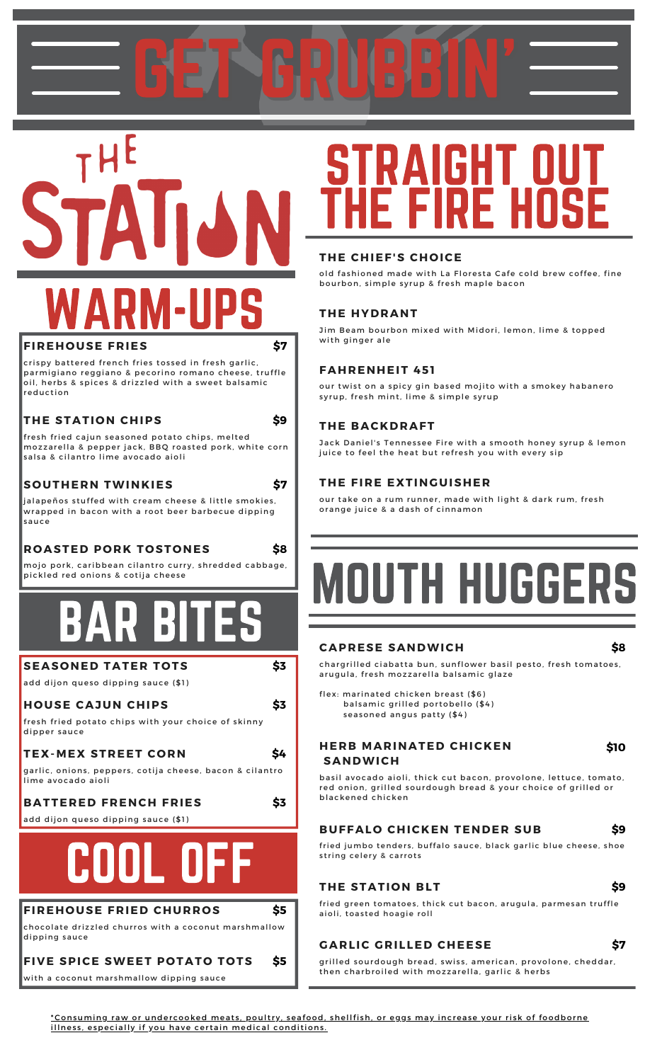GET GRUBBIN'

THE WARM-UPS

#### **FIREHOUSE FRIES**

crispy battered french fries tossed in fresh garlic, parmigiano reggiano & pecorino romano cheese, truffle oil, herbs & spices & drizzled with a sweet balsamic reduction

#### **THE STATION CHIPS**

fresh fried cajun seasoned potato chips, melted mozzarella & pepper jack, BBQ roasted pork, white corn salsa & cilantro lime avocado aioli

#### **SOUTHERN TWINKIES**

**\$7**

**\$7**

**\$9**

**\$8**

**\$3**

**\$3**

**\$4**

**\$3**

**\$5**

ialapeños stuffed with cream cheese & little smokies. wrapped in bacon with a root beer barbecue dipping s a u c e

#### **ROASTED PORK TOSTONES**

mojo pork, caribbean cilantro curry, shredded cabbage, pickled red onions & cotija cheese

### BAR BITES

**SEASONED TATER TOTS** 

add dijon queso dipping sauce (\$1)

#### **HOUSE CAJUN CHIPS**

fresh fried potato chips with your choice of skinny dipper sauce

### **TEX-MEX STREET CORN**

garlic, onions, peppers, cotija cheese, bacon & cilantro lime avocado aioli

#### **BATTERED FRENCH FRIES**

add dijon queso dipping sauce (\$1)

## COOL OFF

#### **FIREHOUSE FRIED CHURROS**

chocolate drizzled churros with a coconut marshmallow dipping sauce

#### **FIVE SPICE SWEET POTATO TOTS \$5**

with a coconut marshmallow dipping sauce

### STRAIGHT OUT THE FIRE HOSE

#### **THE CHIEF'S CHOICE**

old fashioned made with La Floresta Cafe cold brew coffee, fine bourbon, simple syrup & fresh maple bacon

#### **THE HYDRANT**

Jim Beam bourbon mixed with Midori, lemon, lime & topped with ginger ale

#### **FAHRENHEIT 451**

our twist on a spicy gin based mojito with a smokey habanero syrup, fresh mint, lime & simple syrup

#### **THE BACKDRAFT**

Jack Daniel's Tennessee Fire with a smooth honey syrup & lemon juice to feel the heat but refresh you with every sip

#### **THE FIRE EXTINGUISHER**

our take on a rum runner, made with light & dark rum, fresh orange juice & a dash of cinnamon

# TH HUGGI

#### **CAPRESE SANDWICH**

**\$8**

chargrilled ciabatta bun, sunflower basil pesto, fresh tomatoes, arugula, fresh mozzarella balsamic glaze

flex: marinated chicken breast (\$6) balsamic grilled portobello (\$4) seasoned angus patty (\$4)

#### **HERB MARINATED CHICKEN S A N D W I C H**

#### **\$10**

**\$9**

basil avocado aioli, thick cut bacon, provolone, lettuce, tomato, red onion, grilled sourdough bread & your choice of grilled or blackened chicken

#### **BUFFALO CHICKEN TENDER SUB**

fried jumbo tenders, buffalo sauce, black garlic blue cheese, shoe string celery & carrots

#### **THE STATION BLT**

**\$9**

fried green tomatoes, thick cut bacon, arugula, parmesan truffle aioli, toasted hoagie roll

### **GARLIC GRILLED CHEESE**

**\$7**

grilled sourdough bread, swiss, american, provolone, cheddar, then charbroiled with mozzarella, garlic & herbs

<u>\*Consuming raw or undercooked meats, poultry, seafood, shellfish, or eggs may increase your risk of foodborne</u> illness, especially if you have certain medical conditions.